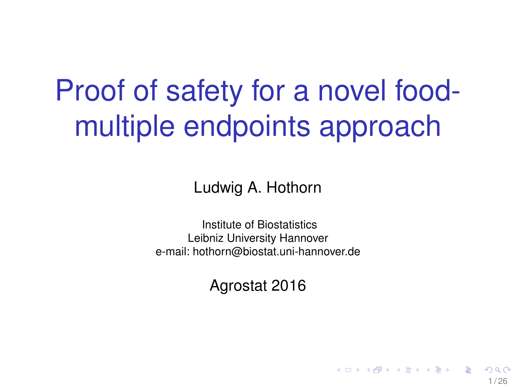# Proof of safety for a novel foodmultiple endpoints approach

Ludwig A. Hothorn

Institute of Biostatistics Leibniz University Hannover e-mail: hothorn@biostat.uni-hannover.de

Agrostat 2016

1 / 26

イロト イ押 トイヨ トイヨ トー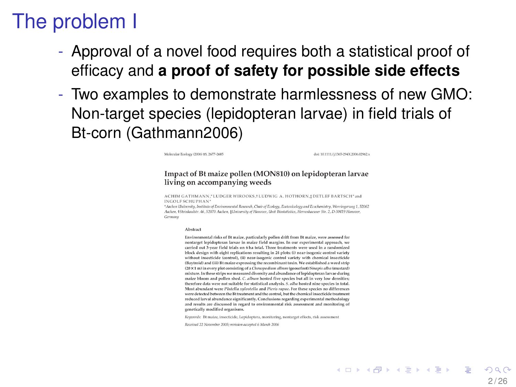#### The problem I

- Approval of a novel food requires both a statistical proof of efficacy and **a proof of safety for possible side effects**
- Two examples to demonstrate harmlessness of new GMO: Non-target species (lepidopteran larvae) in field trials of Bt-corn (Gathmann2006)

Molecular Federey (2006) 15-2677-2685

dve 10.11117 (1365-294X 2006-02962 v

#### Impact of Bt maize pollen (MON810) on lepidopteran larvae living on accompanying weeds

ACHIM GATHMANN \*LUDGER WIROOKS. LUDWIG A. HOTHORN & DETLEF BARTSCH\*and INGOLF SCHUPHAN\*

\*Archen University, Institute of Emvironmental Research, Chair of Ecology, Ecotoxicology and Ecochemistry, Worringerweg 1, 52062 Aschov, 1Strinkaulstr. 46, 52070 Auchen, Hilniversity of Hanover, Unit Biostatistics, Herrenbaruser Str. 2, D-30419 Hanover, Germany

#### Alectional

Environmental risks of Bt maize, particularly pollen drift from Bt maize, were assessed for nontareet lenidonteran larvae in maize field margins. In our experimental annroach, we carried out 3-year field trials on 6 ha total. Three treatments were used in a randomized block design with eight replications resulting in 24 plots: (i) near-isogenic control variety without insecticide (control). (ii) near-isogenic control variety with chemical insecticide (Baytroid) and (iii) Bt maize expressing the recombinant toxin. We established a weed strip (20 × 1 m) in every plot consisting of a Chenopodium album (goosefoot)/Sinapis alba (mustard) mixture. In these strips we measured diversity and abundance of lepidopteran larvae during maize bloom and pollen shed. C. album hosted five species but all in very low densities; therefore data were not suitable for statistical analysis. S. alba hosted nine species in total. Most abundant were Plutella xulostella and Pieris range. For these species no differences were detected between the Bt treatment and the control, but the chemical insecticide treatment reduced larval abundance significantly. Conclusions regarding experimental methodology and results are discussed in regard to environmental risk assessment and monitoring of genetically modified organisms.

Keyawyds Bt maize, insecticide, Lepidoptera, monitoring, nontarget effects, risk assessment

Received 22 November 2005; revision accepted 6 March 2006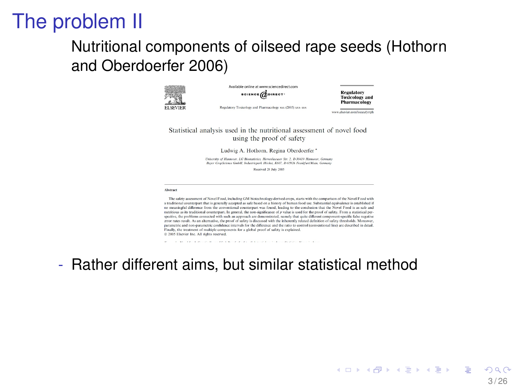#### The problem II

#### Nutritional components of oilseed rape seeds (Hothorn and Oberdoerfer 2006)



Accellately well-we as compared to configurations  $scoreed$ 

**Regulatory Toxicology** and **Pharmacology** 

Regulatory Toxicology and Pharmacology xxx (2005) xxx-xxx

www.alsocion.com/boost.closted

Statistical analysis used in the nutritional assessment of novel food using the proof of safety

Ludwig A. Hothorn, Regina Oberdoerfer \*

University of Hannover, LG Riotzainics, Herrenbacuser Str. 2, D-10419 Hannover, German Baser CropScience GrobH, Indiansement Hischat K607, D-65928 Frankfurt/Majn, Germany

Received 28 July 2005

#### Abstract

The safety assessment of Novel Food, including GM biotechnology-derived crops, starts with the comparison of the Novel Food with a traditional counterpart that is generally accepted as safe based on a history of human food use. Substantial equivalence is established if to meaningful difference from the conventional counterpart was found, leading to the conclusion that the Novel Food is as safe and nutritious as its traditional counterpart. In general, the non-significance of p value is used for the proof of safety. From a statistical perspective, the problems connected with such an approach are demonstrated, namely that quite different component-specific false negative error rates result. As an alternative, the proof of safety is discussed with the inherently related definition of safety thresholds. Moreover, parametric and non-parametric confidence intervals for the difference and the ratio to control (conventional line) are described in detail Finally, the treatment of multiple components for a global proof of safety is explained. D 2005 Elsevier Inc. All rights reserved.

the second contract of the contract contract of the contract of the contract of the contract of - Rather different aims, but similar statistical method

> イロト イ押 トイヨ トイヨ トーヨ 3 / 26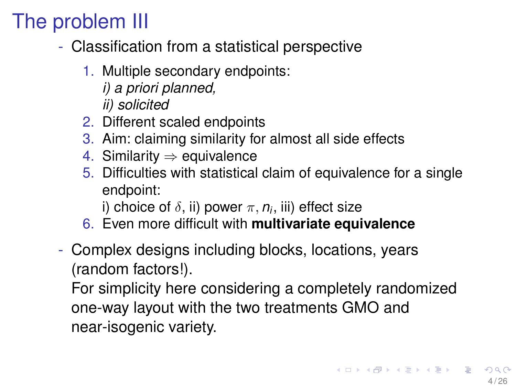# The problem III

- Classification from a statistical perspective
	- 1. Multiple secondary endpoints:
		- *i) a priori planned,*
		- *ii) solicited*
	- 2. Different scaled endpoints
	- 3. Aim: claiming similarity for almost all side effects
	- 4. Similarity  $\Rightarrow$  equivalence
	- 5. Difficulties with statistical claim of equivalence for a single endpoint:
		- i) choice of  $\delta$ , ii) power  $\pi, n_i$ , iii) effect size
	- 6. Even more difficult with **multivariate equivalence**
- Complex designs including blocks, locations, years (random factors!).

For simplicity here considering a completely randomized one-way layout with the two treatments GMO and near-isogenic variety.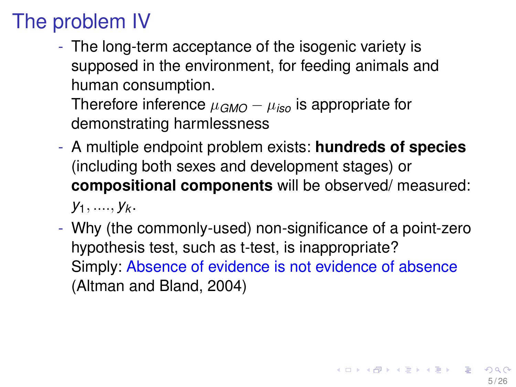# The problem IV

- The long-term acceptance of the isogenic variety is supposed in the environment, for feeding animals and human consumption.

Therefore inference  $\mu_{GMO} - \mu_{iso}$  is appropriate for demonstrating harmlessness

- A multiple endpoint problem exists: **hundreds of species** (including both sexes and development stages) or **compositional components** will be observed/ measured: *y*1, ...., *y<sup>k</sup>* .
- Why (the commonly-used) non-significance of a point-zero hypothesis test, such as t-test, is inappropriate? Simply: Absence of evidence is not evidence of absence (Altman and Bland, 2004)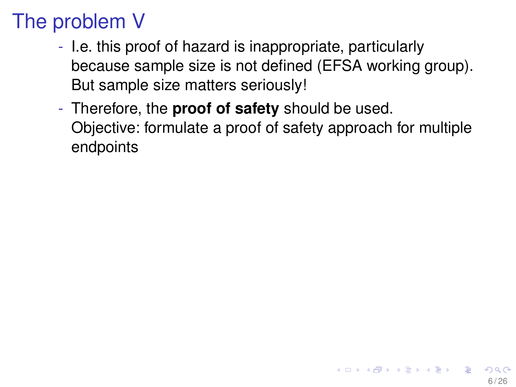## The problem V

- I.e. this proof of hazard is inappropriate, particularly because sample size is not defined (EFSA working group). But sample size matters seriously!
- Therefore, the **proof of safety** should be used. Objective: formulate a proof of safety approach for multiple endpoints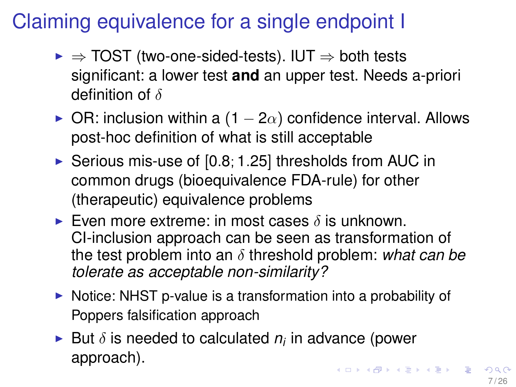## Claiming equivalence for a single endpoint I

- $\triangleright \Rightarrow$  TOST (two-one-sided-tests). IUT  $\Rightarrow$  both tests significant: a lower test **and** an upper test. Needs a-priori definition of  $\delta$
- $\triangleright$  OR: inclusion within a (1 − 2 $\alpha$ ) confidence interval. Allows post-hoc definition of what is still acceptable
- $\triangleright$  Serious mis-use of [0.8; 1.25] thresholds from AUC in common drugs (bioequivalence FDA-rule) for other (therapeutic) equivalence problems
- Even more extreme: in most cases  $\delta$  is unknown. CI-inclusion approach can be seen as transformation of the test problem into an δ threshold problem: *what can be tolerate as acceptable non-similarity?*
- $\triangleright$  Notice: NHST p-value is a transformation into a probability of Poppers falsification approach
- **But**  $\delta$  **is needed to calculated**  $n_i$  **in advance (power** approach). **KORK REPARE FROM A COLOR**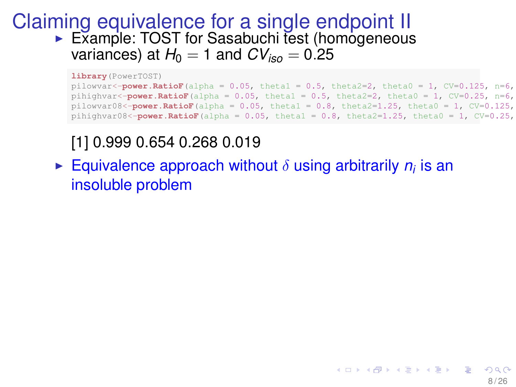#### Claiming equivalence for a single endpoint II ▶ Example: TOST for Sasabuchi test (homogeneous variances) at  $H_0 = 1$  and  $CV_{iso} = 0.25$

**library**(PowerTOST)

```
pilowvar<-power.RatioF(alpha = 0.05, theta1 = 0.5, theta2=2, theta0 = 1, CV=0.125, n=6,
pihighvar<-power.RatioF(alpha = 0.05, theta1 = 0.5, theta2=2, theta0 = 1, CV=0.25, n=6,
pilowvar08<-\text{power.RatioF}(alpha = 0.05, theta1 = 0.8, theta2=1.25, theta0 = 1, CV=0.125,
pihighvar08<-power.RatioF(alpha = 0.05, theta1 = 0.8, theta2=1.25, theta0 = 1, CV=0.25,
```
#### [1] 0.999 0.654 0.268 0.019

**Equivalence approach without**  $\delta$  **using arbitrarily**  $n_i$  **is an** insoluble problem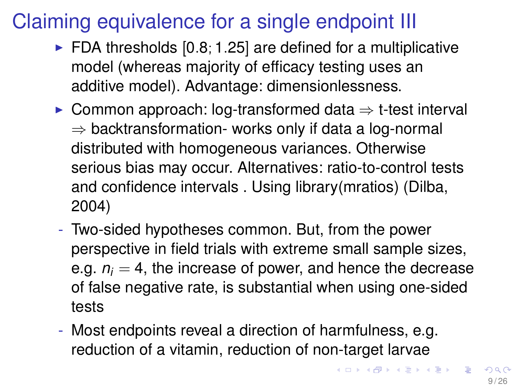## Claiming equivalence for a single endpoint III

- $\triangleright$  FDA thresholds [0.8; 1.25] are defined for a multiplicative model (whereas majority of efficacy testing uses an additive model). Advantage: dimensionlessness.
- $\triangleright$  Common approach: log-transformed data  $\Rightarrow$  t-test interval  $\Rightarrow$  backtransformation- works only if data a log-normal distributed with homogeneous variances. Otherwise serious bias may occur. Alternatives: ratio-to-control tests and confidence intervals . Using library(mratios) (Dilba, 2004)
- Two-sided hypotheses common. But, from the power perspective in field trials with extreme small sample sizes, e.g.  $n_i = 4$ , the increase of power, and hence the decrease of false negative rate, is substantial when using one-sided tests
- Most endpoints reveal a direction of harmfulness, e.g. reduction of a vitamin, reduction of non-target larvae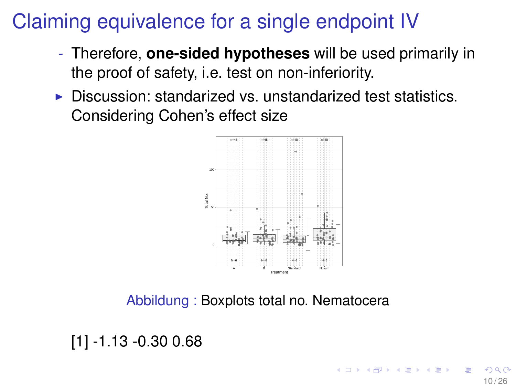#### Claiming equivalence for a single endpoint IV

- Therefore, **one-sided hypotheses** will be used primarily in the proof of safety, i.e. test on non-inferiority.
- $\triangleright$  Discussion: standarized vs. unstandarized test statistics. Considering Cohen's effect size



Abbildung : Boxplots total no. Nematocera

[1] -1.13 -0.30 0.68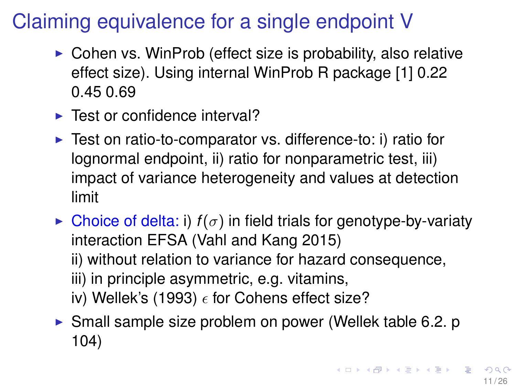## Claiming equivalence for a single endpoint V

- $\triangleright$  Cohen vs. WinProb (effect size is probability, also relative effect size). Using internal WinProb R package [1] 0.22 0.45 0.69
- $\blacktriangleright$  Test or confidence interval?
- $\triangleright$  Test on ratio-to-comparator vs. difference-to: i) ratio for lognormal endpoint, ii) ratio for nonparametric test, iii) impact of variance heterogeneity and values at detection limit
- $\triangleright$  Choice of delta: i)  $f(\sigma)$  in field trials for genotype-by-variaty interaction EFSA (Vahl and Kang 2015) ii) without relation to variance for hazard consequence, iii) in principle asymmetric, e.g. vitamins, iv) Wellek's (1993)  $\epsilon$  for Cohens effect size?
- $\triangleright$  Small sample size problem on power (Wellek table 6.2. p 104)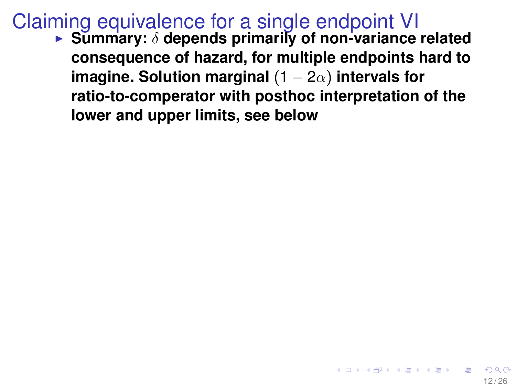#### Claiming equivalence for a single endpoint VI

**Exammary: δ depends primarily of non-variance related consequence of hazard, for multiple endpoints hard to imagine. Solution marginal** (1 − 2α) **intervals for ratio-to-comperator with posthoc interpretation of the lower and upper limits, see below**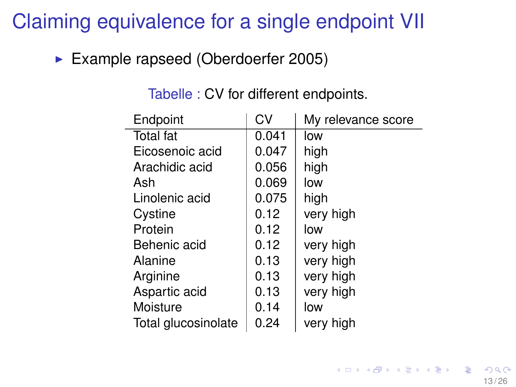#### Claiming equivalence for a single endpoint VII

Example rapseed (Oberdoerfer 2005)

| Endpoint            | CV    | My relevance score |
|---------------------|-------|--------------------|
| Total fat           | 0.041 | low                |
| Eicosenoic acid     | 0.047 | high               |
| Arachidic acid      | 0.056 | high               |
| Ash                 | 0.069 | low                |
| Linolenic acid      | 0.075 | high               |
| Cystine             | 0.12  | very high          |
| Protein             | 0.12  | low                |
| Behenic acid        | 0.12  | very high          |
| Alanine             | 0.13  | very high          |
| Arginine            | 0.13  | very high          |
| Aspartic acid       | 0.13  | very high          |
| Moisture            | 0.14  | low                |
| Total glucosinolate | 0.24  | very high          |

Tabelle : CV for different endpoints.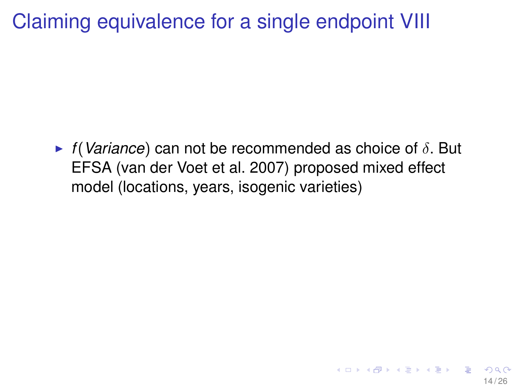#### Claiming equivalence for a single endpoint VIII

 $\triangleright$  *f*(*Variance*) can not be recommended as choice of  $\delta$ . But EFSA (van der Voet et al. 2007) proposed mixed effect model (locations, years, isogenic varieties)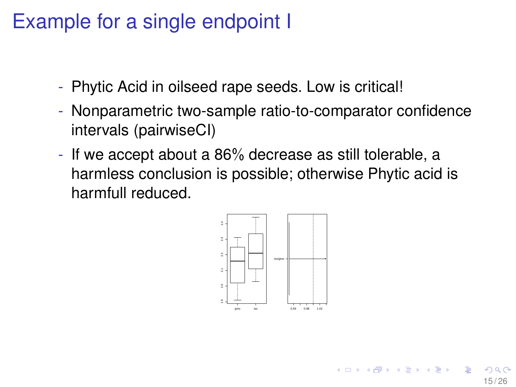#### Example for a single endpoint I

- Phytic Acid in oilseed rape seeds. Low is critical!
- Nonparametric two-sample ratio-to-comparator confidence intervals (pairwiseCI)
- If we accept about a 86% decrease as still tolerable, a harmless conclusion is possible; otherwise Phytic acid is harmfull reduced.

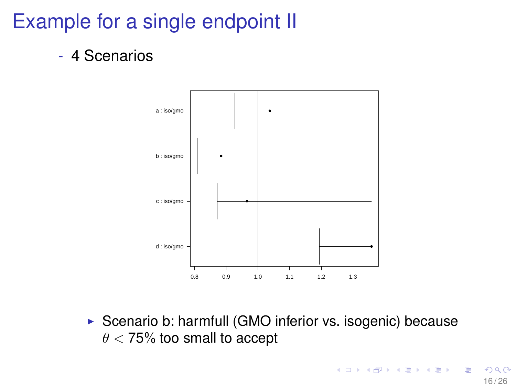#### Example for a single endpoint II

- 4 Scenarios



 $\triangleright$  Scenario b: harmfull (GMO inferior vs. isogenic) because  $\theta$  < 75% too small to accept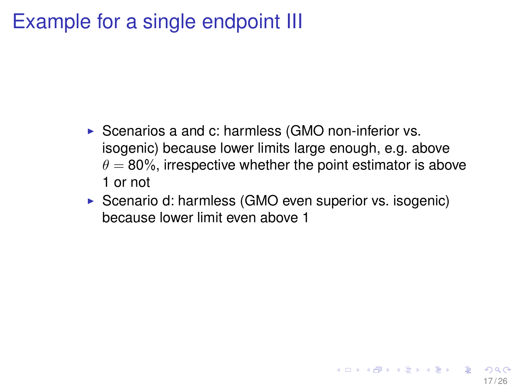#### Example for a single endpoint III

- $\triangleright$  Scenarios a and c: harmless (GMO non-inferior vs. isogenic) because lower limits large enough, e.g. above  $\theta = 80\%$ , irrespective whether the point estimator is above 1 or not
- $\triangleright$  Scenario d: harmless (GMO even superior vs. isogenic) because lower limit even above 1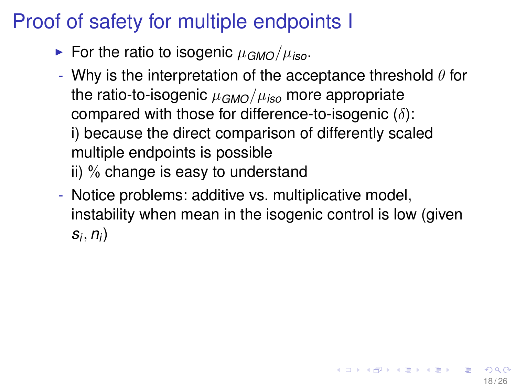#### Proof of safety for multiple endpoints I

- For the ratio to isogenic  $\mu_{GMO}/\mu_{iso}$ .
- Why is the interpretation of the acceptance threshold  $\theta$  for the ratio-to-isogenic  $\mu_{GMO}/\mu_{iso}$  more appropriate compared with those for difference-to-isogenic  $(\delta)$ : i) because the direct comparison of differently scaled multiple endpoints is possible ii) % change is easy to understand
- Notice problems: additive vs. multiplicative model, instability when mean in the isogenic control is low (given *si* , *n<sup>i</sup>* )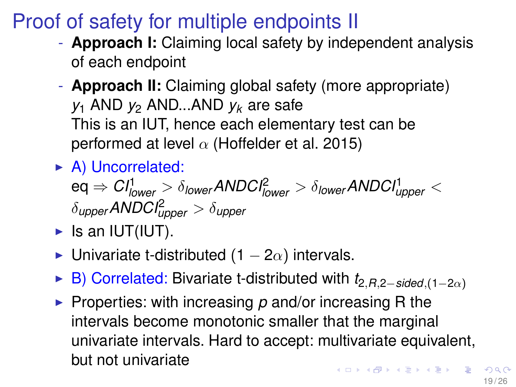#### Proof of safety for multiple endpoints II

- **Approach I:** Claiming local safety by independent analysis of each endpoint
- **Approach II:** Claiming global safety (more appropriate) *y*<sup>1</sup> AND *y*<sup>2</sup> AND...AND *y<sup>k</sup>* are safe This is an IUT, hence each elementary test can be performed at level  $\alpha$  (Hoffelder et al. 2015)
- $\triangleright$  A) Uncorrelated:

 $\textsf{eq} \Rightarrow \textit{CI}^1_{\textsf{lower}} > \delta_{\textsf{lower}}$ ANDCI $^2_{\textsf{lower}} > \delta_{\textsf{lower}}$ ANDCI $^1_{\textsf{upper}} <$  $\delta$ <sub>upper</sub>  $\mathsf{ANDCI}^2_{\textit{upper}} > \delta_{\textit{upper}}$ 

- $\blacktriangleright$  Is an IUT(IUT).
- $\triangleright$  Univariate t-distributed (1 2 $\alpha$ ) intervals.
- <sup>I</sup> B) Correlated: Bivariate t-distributed with *t*2,*R*,2−*sided*,(1−2α)
- **Properties: with increasing p and/or increasing R the** intervals become monotonic smaller that the marginal univariate intervals. Hard to accept: multivariate equivalent, but not univariate **KORKAR KERKER EL KORC**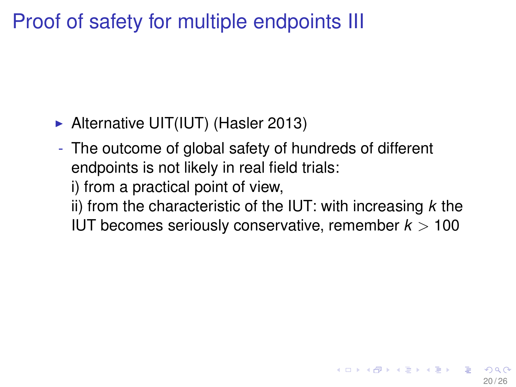#### Proof of safety for multiple endpoints III

- $\blacktriangleright$  Alternative UIT(IUT) (Hasler 2013)
- The outcome of global safety of hundreds of different endpoints is not likely in real field trials:
	- i) from a practical point of view,
	- ii) from the characteristic of the IUT: with increasing *k* the IUT becomes seriously conservative, remember *k* > 100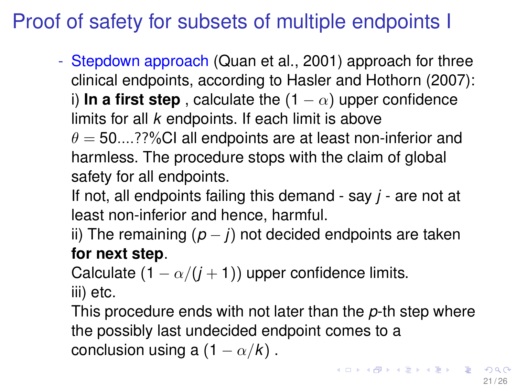#### Proof of safety for subsets of multiple endpoints I

- Stepdown approach (Quan et al., 2001) approach for three clinical endpoints, according to Hasler and Hothorn (2007): i) **In a first step**, calculate the  $(1 - \alpha)$  upper confidence limits for all *k* endpoints. If each limit is above  $\theta = 50....$ ??%CI all endpoints are at least non-inferior and harmless. The procedure stops with the claim of global safety for all endpoints.

If not, all endpoints failing this demand - say *j* - are not at least non-inferior and hence, harmful.

ii) The remaining  $(p - j)$  not decided endpoints are taken **for next step**.

Calculate  $(1 - \alpha/(j + 1))$  upper confidence limits. iii) etc.

This procedure ends with not later than the *p*-th step where the possibly last undecided endpoint comes to a conclusion using a  $(1 - \alpha/k)$ .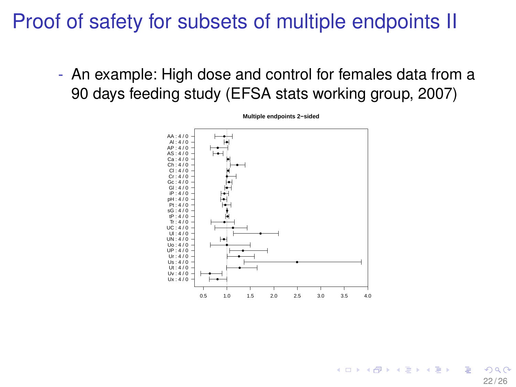#### Proof of safety for subsets of multiple endpoints II

- An example: High dose and control for females data from a 90 days feeding study (EFSA stats working group, 2007)



**Multiple endpoints 2−sided**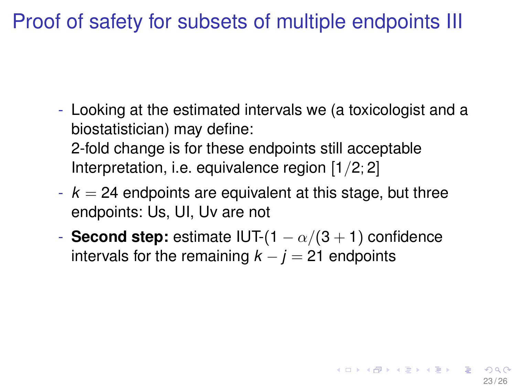Proof of safety for subsets of multiple endpoints III

- Looking at the estimated intervals we (a toxicologist and a biostatistician) may define: 2-fold change is for these endpoints still acceptable Interpretation, i.e. equivalence region [1/2; 2]
- $k = 24$  endpoints are equivalent at this stage, but three endpoints: Us, UI, Uv are not
- **Second step:** estimate IUT- $(1 \alpha/(3 + 1))$  confidence intervals for the remaining  $k - j = 21$  endpoints

23 / 26

メロトメ 御 トメ 君 トメ 君 トー 君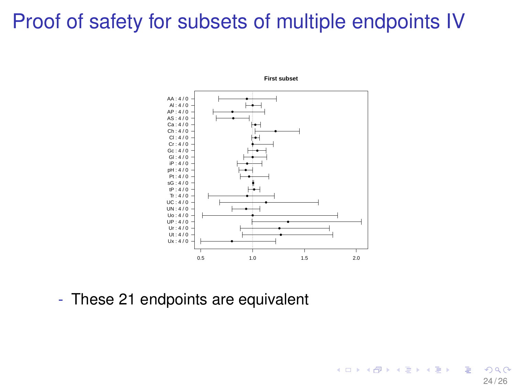#### Proof of safety for subsets of multiple endpoints IV



24 / 26

イロト イ押 トイヨ トイヨト

**First subset**

- These 21 endpoints are equivalent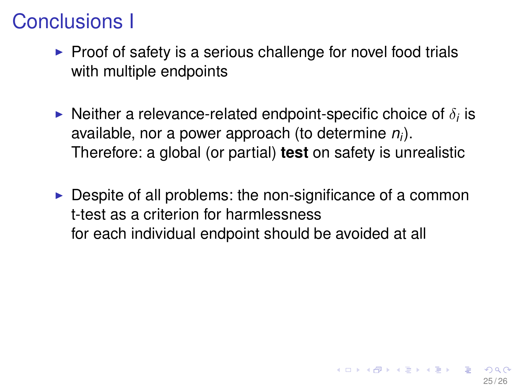#### Conclusions I

- $\triangleright$  Proof of safety is a serious challenge for novel food trials with multiple endpoints
- $\blacktriangleright$  Neither a relevance-related endpoint-specific choice of  $\delta_i$  is available, nor a power approach (to determine *n<sup>i</sup>* ). Therefore: a global (or partial) **test** on safety is unrealistic
- $\triangleright$  Despite of all problems: the non-significance of a common t-test as a criterion for harmlessness for each individual endpoint should be avoided at all